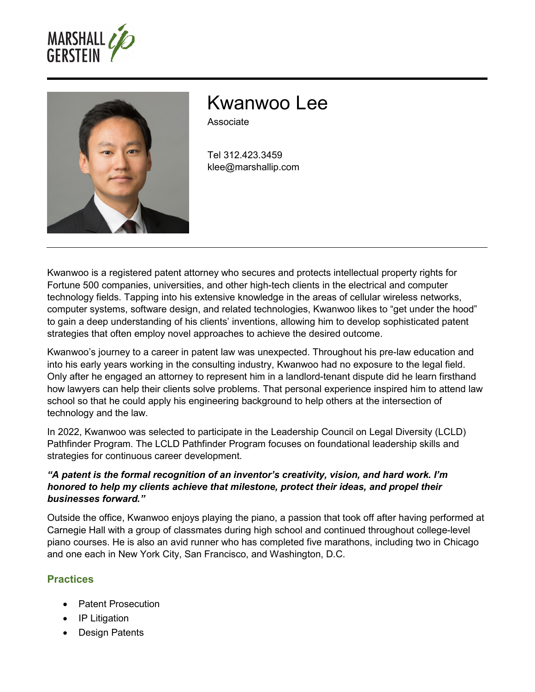



# Kwanwoo Lee

Associate

Tel 312.423.3459 klee@marshallip.com

Kwanwoo is a registered patent attorney who secures and protects intellectual property rights for Fortune 500 companies, universities, and other high-tech clients in the electrical and computer technology fields. Tapping into his extensive knowledge in the areas of cellular wireless networks, computer systems, software design, and related technologies, Kwanwoo likes to "get under the hood" to gain a deep understanding of his clients' inventions, allowing him to develop sophisticated patent strategies that often employ novel approaches to achieve the desired outcome.

Kwanwoo's journey to a career in patent law was unexpected. Throughout his pre-law education and into his early years working in the consulting industry, Kwanwoo had no exposure to the legal field. Only after he engaged an attorney to represent him in a landlord-tenant dispute did he learn firsthand how lawyers can help their clients solve problems. That personal experience inspired him to attend law school so that he could apply his engineering background to help others at the intersection of technology and the law.

In 2022, Kwanwoo was selected to participate in the Leadership Council on Legal Diversity (LCLD) Pathfinder Program. The LCLD Pathfinder Program focuses on foundational leadership skills and strategies for continuous career development.

#### *"A patent is the formal recognition of an inventor's creativity, vision, and hard work. I'm honored to help my clients achieve that milestone, protect their ideas, and propel their businesses forward."*

Outside the office, Kwanwoo enjoys playing the piano, a passion that took off after having performed at Carnegie Hall with a group of classmates during high school and continued throughout college-level piano courses. He is also an avid runner who has completed five marathons, including two in Chicago and one each in New York City, San Francisco, and Washington, D.C.

## **Practices**

- Patent Prosecution
- IP Litigation
- Design Patents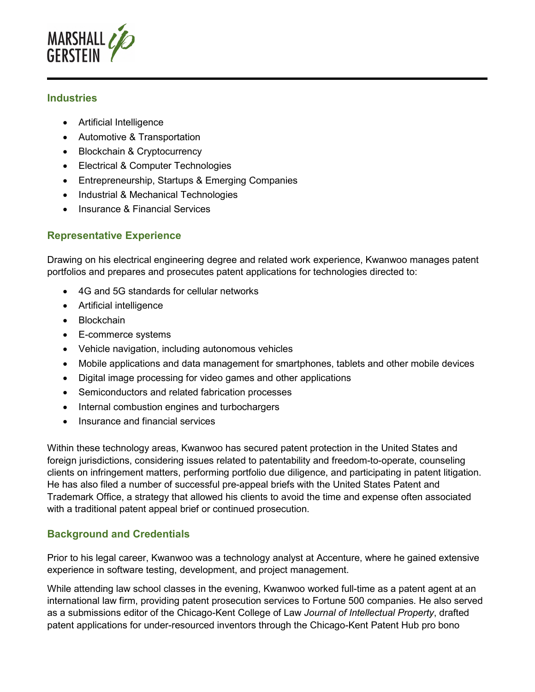

#### **Industries**

- Artificial Intelligence
- Automotive & Transportation
- Blockchain & Cryptocurrency
- Electrical & Computer Technologies
- Entrepreneurship, Startups & Emerging Companies
- Industrial & Mechanical Technologies
- Insurance & Financial Services

## **Representative Experience**

Drawing on his electrical engineering degree and related work experience, Kwanwoo manages patent portfolios and prepares and prosecutes patent applications for technologies directed to:

- 4G and 5G standards for cellular networks
- Artificial intelligence
- Blockchain
- E-commerce systems
- Vehicle navigation, including autonomous vehicles
- Mobile applications and data management for smartphones, tablets and other mobile devices
- Digital image processing for video games and other applications
- Semiconductors and related fabrication processes
- Internal combustion engines and turbochargers
- Insurance and financial services

Within these technology areas, Kwanwoo has secured patent protection in the United States and foreign jurisdictions, considering issues related to patentability and freedom-to-operate, counseling clients on infringement matters, performing portfolio due diligence, and participating in patent litigation. He has also filed a number of successful pre-appeal briefs with the United States Patent and Trademark Office, a strategy that allowed his clients to avoid the time and expense often associated with a traditional patent appeal brief or continued prosecution.

## **Background and Credentials**

Prior to his legal career, Kwanwoo was a technology analyst at Accenture, where he gained extensive experience in software testing, development, and project management.

While attending law school classes in the evening, Kwanwoo worked full-time as a patent agent at an international law firm, providing patent prosecution services to Fortune 500 companies. He also served as a submissions editor of the Chicago-Kent College of Law *Journal of Intellectual Property*, drafted patent applications for under-resourced inventors through the Chicago-Kent Patent Hub pro bono